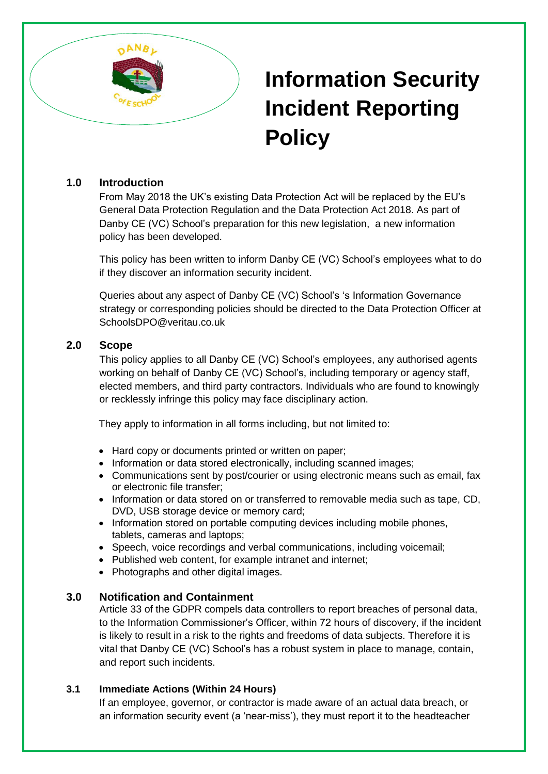

# **Information Security Incident Reporting Policy**

## **1.0 Introduction**

From May 2018 the UK's existing Data Protection Act will be replaced by the EU's General Data Protection Regulation and the Data Protection Act 2018. As part of Danby CE (VC) School's preparation for this new legislation, a new information policy has been developed.

This policy has been written to inform Danby CE (VC) School's employees what to do if they discover an information security incident.

Queries about any aspect of Danby CE (VC) School's 's Information Governance strategy or corresponding policies should be directed to the Data Protection Officer at SchoolsDPO@veritau.co.uk

### **2.0 Scope**

This policy applies to all Danby CE (VC) School's employees, any authorised agents working on behalf of Danby CE (VC) School's, including temporary or agency staff, elected members, and third party contractors. Individuals who are found to knowingly or recklessly infringe this policy may face disciplinary action.

They apply to information in all forms including, but not limited to:

- Hard copy or documents printed or written on paper;
- Information or data stored electronically, including scanned images;
- Communications sent by post/courier or using electronic means such as email, fax or electronic file transfer;
- Information or data stored on or transferred to removable media such as tape, CD, DVD, USB storage device or memory card;
- Information stored on portable computing devices including mobile phones, tablets, cameras and laptops;
- Speech, voice recordings and verbal communications, including voicemail;
- Published web content, for example intranet and internet;
- Photographs and other digital images.

### **3.0 Notification and Containment**

Article 33 of the GDPR compels data controllers to report breaches of personal data, to the Information Commissioner's Officer, within 72 hours of discovery, if the incident is likely to result in a risk to the rights and freedoms of data subjects. Therefore it is vital that Danby CE (VC) School's has a robust system in place to manage, contain, and report such incidents.

### **3.1 Immediate Actions (Within 24 Hours)**

If an employee, governor, or contractor is made aware of an actual data breach, or an information security event (a 'near-miss'), they must report it to the headteacher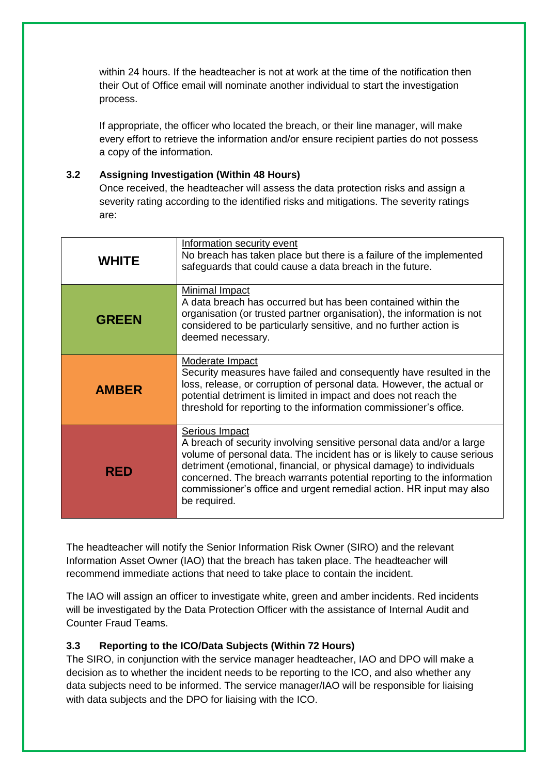within 24 hours. If the headteacher is not at work at the time of the notification then their Out of Office email will nominate another individual to start the investigation process.

If appropriate, the officer who located the breach, or their line manager, will make every effort to retrieve the information and/or ensure recipient parties do not possess a copy of the information.

#### **3.2 Assigning Investigation (Within 48 Hours)**

Once received, the headteacher will assess the data protection risks and assign a severity rating according to the identified risks and mitigations. The severity ratings are:

| <b>WHITE</b> | Information security event<br>No breach has taken place but there is a failure of the implemented<br>safeguards that could cause a data breach in the future.                                                                                                                                                                                                                                             |
|--------------|-----------------------------------------------------------------------------------------------------------------------------------------------------------------------------------------------------------------------------------------------------------------------------------------------------------------------------------------------------------------------------------------------------------|
| <b>GREEN</b> | Minimal Impact<br>A data breach has occurred but has been contained within the<br>organisation (or trusted partner organisation), the information is not<br>considered to be particularly sensitive, and no further action is<br>deemed necessary.                                                                                                                                                        |
| <b>AMBER</b> | Moderate Impact<br>Security measures have failed and consequently have resulted in the<br>loss, release, or corruption of personal data. However, the actual or<br>potential detriment is limited in impact and does not reach the<br>threshold for reporting to the information commissioner's office.                                                                                                   |
| <b>RED</b>   | Serious Impact<br>A breach of security involving sensitive personal data and/or a large<br>volume of personal data. The incident has or is likely to cause serious<br>detriment (emotional, financial, or physical damage) to individuals<br>concerned. The breach warrants potential reporting to the information<br>commissioner's office and urgent remedial action. HR input may also<br>be required. |

The headteacher will notify the Senior Information Risk Owner (SIRO) and the relevant Information Asset Owner (IAO) that the breach has taken place. The headteacher will recommend immediate actions that need to take place to contain the incident.

The IAO will assign an officer to investigate white, green and amber incidents. Red incidents will be investigated by the Data Protection Officer with the assistance of Internal Audit and Counter Fraud Teams.

## **3.3 Reporting to the ICO/Data Subjects (Within 72 Hours)**

The SIRO, in conjunction with the service manager headteacher, IAO and DPO will make a decision as to whether the incident needs to be reporting to the ICO, and also whether any data subjects need to be informed. The service manager/IAO will be responsible for liaising with data subjects and the DPO for liaising with the ICO.